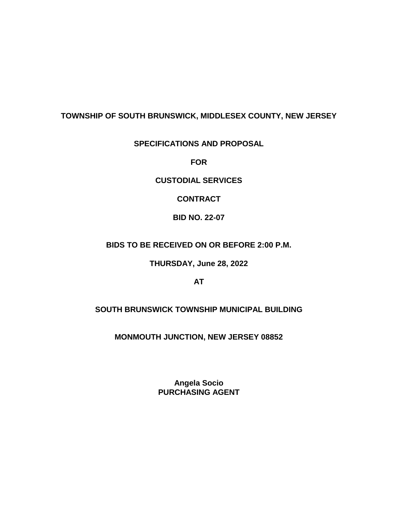## **TOWNSHIP OF SOUTH BRUNSWICK, MIDDLESEX COUNTY, NEW JERSEY**

## **SPECIFICATIONS AND PROPOSAL**

**FOR**

**CUSTODIAL SERVICES**

**CONTRACT**

**BID NO. 22-07**

**BIDS TO BE RECEIVED ON OR BEFORE 2:00 P.M.**

**THURSDAY, June 28, 2022**

**AT**

**SOUTH BRUNSWICK TOWNSHIP MUNICIPAL BUILDING**

**MONMOUTH JUNCTION, NEW JERSEY 08852**

**Angela Socio PURCHASING AGENT**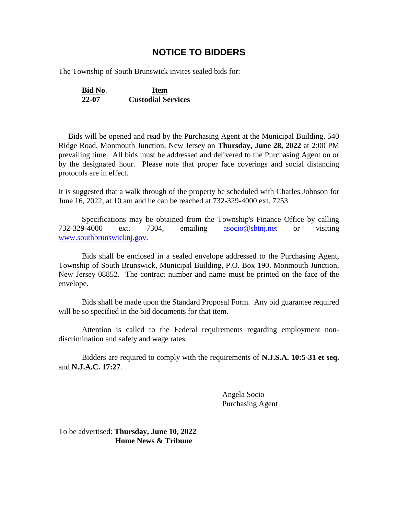## **NOTICE TO BIDDERS**

The Township of South Brunswick invites sealed bids for:

**Bid No**. **Item 22-07 Custodial Services**

 Bids will be opened and read by the Purchasing Agent at the Municipal Building, 540 Ridge Road, Monmouth Junction, New Jersey on **Thursday, June 28, 2022** at 2:00 PM prevailing time. All bids must be addressed and delivered to the Purchasing Agent on or by the designated hour. Please note that proper face coverings and social distancing protocols are in effect.

It is suggested that a walk through of the property be scheduled with Charles Johnson for June 16, 2022, at 10 am and he can be reached at 732-329-4000 ext. 7253

Specifications may be obtained from the Township's Finance Office by calling 732-329-4000 ext. 7304, emailing [asocio@sbtnj.net](mailto:asocio@sbtnj.net) or visiting [www.southbrunswicknj.gov.](http://www.southbrunswicknj.gov/)

Bids shall be enclosed in a sealed envelope addressed to the Purchasing Agent, Township of South Brunswick, Municipal Building, P.O. Box 190, Monmouth Junction, New Jersey 08852. The contract number and name must be printed on the face of the envelope.

Bids shall be made upon the Standard Proposal Form. Any bid guarantee required will be so specified in the bid documents for that item.

Attention is called to the Federal requirements regarding employment nondiscrimination and safety and wage rates.

Bidders are required to comply with the requirements of **N.J.S.A. 10:5-31 et seq.** and **N.J.A.C. 17:27**.

> Angela Socio Purchasing Agent

To be advertised: **Thursday, June 10, 2022 Home News & Tribune**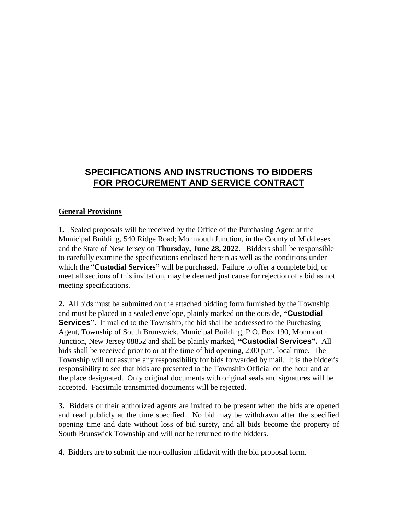# **SPECIFICATIONS AND INSTRUCTIONS TO BIDDERS FOR PROCUREMENT AND SERVICE CONTRACT**

## **General Provisions**

**1.** Sealed proposals will be received by the Office of the Purchasing Agent at the Municipal Building, 540 Ridge Road; Monmouth Junction, in the County of Middlesex and the State of New Jersey on **Thursday, June 28, 2022.** Bidders shall be responsible to carefully examine the specifications enclosed herein as well as the conditions under which the "**Custodial Services"** will be purchased. Failure to offer a complete bid, or meet all sections of this invitation, may be deemed just cause for rejection of a bid as not meeting specifications.

**2.** All bids must be submitted on the attached bidding form furnished by the Township and must be placed in a sealed envelope, plainly marked on the outside, **"Custodial Services**". If mailed to the Township, the bid shall be addressed to the Purchasing Agent, Township of South Brunswick, Municipal Building, P.O. Box 190, Monmouth Junction, New Jersey 08852 and shall be plainly marked, **"Custodial Services".** All bids shall be received prior to or at the time of bid opening, 2:00 p.m. local time. The Township will not assume any responsibility for bids forwarded by mail. It is the bidder's responsibility to see that bids are presented to the Township Official on the hour and at the place designated. Only original documents with original seals and signatures will be accepted. Facsimile transmitted documents will be rejected.

**3.** Bidders or their authorized agents are invited to be present when the bids are opened and read publicly at the time specified. No bid may be withdrawn after the specified opening time and date without loss of bid surety, and all bids become the property of South Brunswick Township and will not be returned to the bidders.

**4.** Bidders are to submit the non-collusion affidavit with the bid proposal form.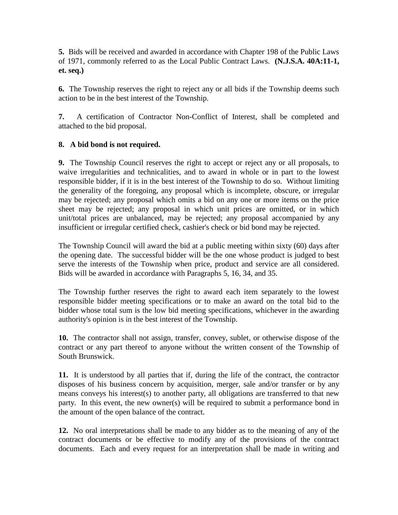**5.** Bids will be received and awarded in accordance with Chapter 198 of the Public Laws of 1971, commonly referred to as the Local Public Contract Laws. **(N.J.S.A. 40A:11-1, et. seq.)**

**6.** The Township reserves the right to reject any or all bids if the Township deems such action to be in the best interest of the Township.

**7.** A certification of Contractor Non-Conflict of Interest, shall be completed and attached to the bid proposal.

## **8. A bid bond is not required.**

**9.** The Township Council reserves the right to accept or reject any or all proposals, to waive irregularities and technicalities, and to award in whole or in part to the lowest responsible bidder, if it is in the best interest of the Township to do so. Without limiting the generality of the foregoing, any proposal which is incomplete, obscure, or irregular may be rejected; any proposal which omits a bid on any one or more items on the price sheet may be rejected; any proposal in which unit prices are omitted, or in which unit/total prices are unbalanced, may be rejected; any proposal accompanied by any insufficient or irregular certified check, cashier's check or bid bond may be rejected.

The Township Council will award the bid at a public meeting within sixty (60) days after the opening date. The successful bidder will be the one whose product is judged to best serve the interests of the Township when price, product and service are all considered. Bids will be awarded in accordance with Paragraphs 5, 16, 34, and 35.

The Township further reserves the right to award each item separately to the lowest responsible bidder meeting specifications or to make an award on the total bid to the bidder whose total sum is the low bid meeting specifications, whichever in the awarding authority's opinion is in the best interest of the Township.

**10.** The contractor shall not assign, transfer, convey, sublet, or otherwise dispose of the contract or any part thereof to anyone without the written consent of the Township of South Brunswick.

**11.** It is understood by all parties that if, during the life of the contract, the contractor disposes of his business concern by acquisition, merger, sale and/or transfer or by any means conveys his interest(s) to another party, all obligations are transferred to that new party. In this event, the new owner(s) will be required to submit a performance bond in the amount of the open balance of the contract.

**12.** No oral interpretations shall be made to any bidder as to the meaning of any of the contract documents or be effective to modify any of the provisions of the contract documents. Each and every request for an interpretation shall be made in writing and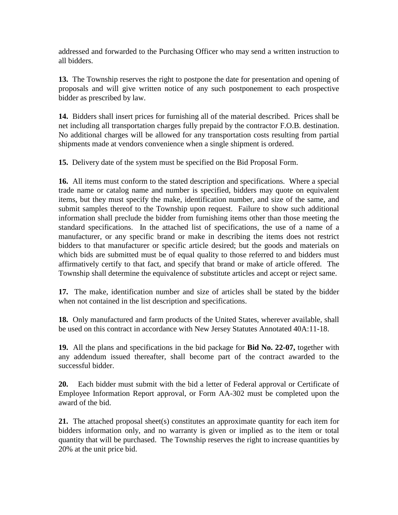addressed and forwarded to the Purchasing Officer who may send a written instruction to all bidders.

**13.** The Township reserves the right to postpone the date for presentation and opening of proposals and will give written notice of any such postponement to each prospective bidder as prescribed by law.

**14.** Bidders shall insert prices for furnishing all of the material described. Prices shall be net including all transportation charges fully prepaid by the contractor F.O.B. destination. No additional charges will be allowed for any transportation costs resulting from partial shipments made at vendors convenience when a single shipment is ordered.

**15.** Delivery date of the system must be specified on the Bid Proposal Form.

**16.** All items must conform to the stated description and specifications. Where a special trade name or catalog name and number is specified, bidders may quote on equivalent items, but they must specify the make, identification number, and size of the same, and submit samples thereof to the Township upon request. Failure to show such additional information shall preclude the bidder from furnishing items other than those meeting the standard specifications. In the attached list of specifications, the use of a name of a manufacturer, or any specific brand or make in describing the items does not restrict bidders to that manufacturer or specific article desired; but the goods and materials on which bids are submitted must be of equal quality to those referred to and bidders must affirmatively certify to that fact, and specify that brand or make of article offered. The Township shall determine the equivalence of substitute articles and accept or reject same.

**17.** The make, identification number and size of articles shall be stated by the bidder when not contained in the list description and specifications.

**18.** Only manufactured and farm products of the United States, wherever available, shall be used on this contract in accordance with New Jersey Statutes Annotated 40A:11-18.

**19.** All the plans and specifications in the bid package for **Bid No. 22-07,** together with any addendum issued thereafter, shall become part of the contract awarded to the successful bidder.

**20.** Each bidder must submit with the bid a letter of Federal approval or Certificate of Employee Information Report approval, or Form AA-302 must be completed upon the award of the bid.

**21.** The attached proposal sheet(s) constitutes an approximate quantity for each item for bidders information only, and no warranty is given or implied as to the item or total quantity that will be purchased. The Township reserves the right to increase quantities by 20% at the unit price bid.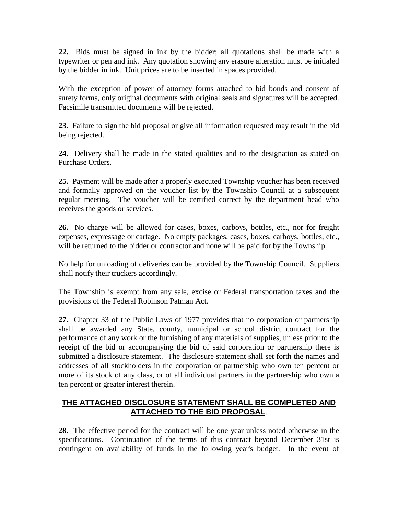**22.** Bids must be signed in ink by the bidder; all quotations shall be made with a typewriter or pen and ink. Any quotation showing any erasure alteration must be initialed by the bidder in ink. Unit prices are to be inserted in spaces provided.

With the exception of power of attorney forms attached to bid bonds and consent of surety forms, only original documents with original seals and signatures will be accepted. Facsimile transmitted documents will be rejected.

**23.** Failure to sign the bid proposal or give all information requested may result in the bid being rejected.

**24.** Delivery shall be made in the stated qualities and to the designation as stated on Purchase Orders.

**25.** Payment will be made after a properly executed Township voucher has been received and formally approved on the voucher list by the Township Council at a subsequent regular meeting. The voucher will be certified correct by the department head who receives the goods or services.

**26.** No charge will be allowed for cases, boxes, carboys, bottles, etc., nor for freight expenses, expressage or cartage. No empty packages, cases, boxes, carboys, bottles, etc., will be returned to the bidder or contractor and none will be paid for by the Township.

No help for unloading of deliveries can be provided by the Township Council. Suppliers shall notify their truckers accordingly.

The Township is exempt from any sale, excise or Federal transportation taxes and the provisions of the Federal Robinson Patman Act.

**27.** Chapter 33 of the Public Laws of 1977 provides that no corporation or partnership shall be awarded any State, county, municipal or school district contract for the performance of any work or the furnishing of any materials of supplies, unless prior to the receipt of the bid or accompanying the bid of said corporation or partnership there is submitted a disclosure statement. The disclosure statement shall set forth the names and addresses of all stockholders in the corporation or partnership who own ten percent or more of its stock of any class, or of all individual partners in the partnership who own a ten percent or greater interest therein.

## **THE ATTACHED DISCLOSURE STATEMENT SHALL BE COMPLETED AND ATTACHED TO THE BID PROPOSAL**.

**28.** The effective period for the contract will be one year unless noted otherwise in the specifications. Continuation of the terms of this contract beyond December 31st is contingent on availability of funds in the following year's budget. In the event of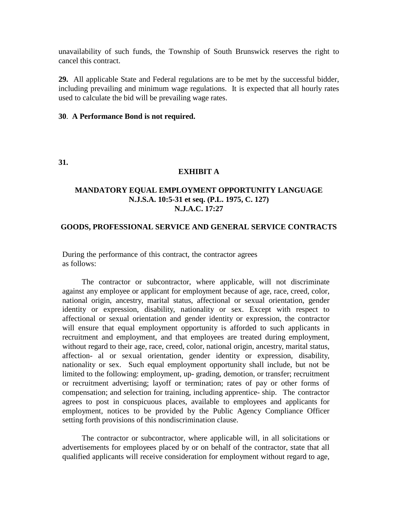unavailability of such funds, the Township of South Brunswick reserves the right to cancel this contract.

**29.** All applicable State and Federal regulations are to be met by the successful bidder, including prevailing and minimum wage regulations. It is expected that all hourly rates used to calculate the bid will be prevailing wage rates.

#### **30**. **A Performance Bond is not required.**

**31.**

#### **EXHIBIT A**

## **MANDATORY EQUAL EMPLOYMENT OPPORTUNITY LANGUAGE N.J.S.A. 10:5-31 et seq. (P.L. 1975, C. 127) N.J.A.C. 17:27**

#### **GOODS, PROFESSIONAL SERVICE AND GENERAL SERVICE CONTRACTS**

During the performance of this contract, the contractor agrees as follows:

The contractor or subcontractor, where applicable, will not discriminate against any employee or applicant for employment because of age, race, creed, color, national origin, ancestry, marital status, affectional or sexual orientation, gender identity or expression, disability, nationality or sex. Except with respect to affectional or sexual orientation and gender identity or expression, the contractor will ensure that equal employment opportunity is afforded to such applicants in recruitment and employment, and that employees are treated during employment, without regard to their age, race, creed, color, national origin, ancestry, marital status, affection- al or sexual orientation, gender identity or expression, disability, nationality or sex. Such equal employment opportunity shall include, but not be limited to the following: employment, up- grading, demotion, or transfer; recruitment or recruitment advertising; layoff or termination; rates of pay or other forms of compensation; and selection for training, including apprentice- ship. The contractor agrees to post in conspicuous places, available to employees and applicants for employment, notices to be provided by the Public Agency Compliance Officer setting forth provisions of this nondiscrimination clause.

The contractor or subcontractor, where applicable will, in all solicitations or advertisements for employees placed by or on behalf of the contractor, state that all qualified applicants will receive consideration for employment without regard to age,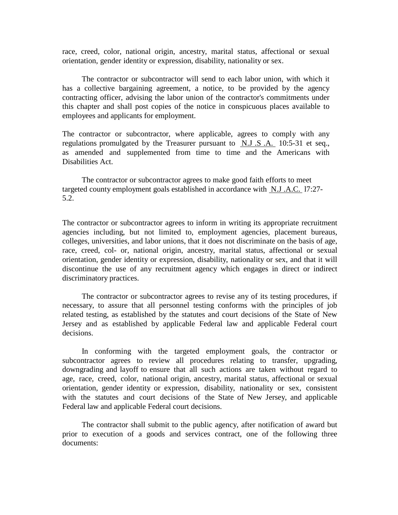race, creed, color, national origin, ancestry, marital status, affectional or sexual orientation, gender identity or expression, disability, nationality or sex.

The contractor or subcontractor will send to each labor union, with which it has a collective bargaining agreement, a notice, to be provided by the agency contracting officer, advising the labor union of the contractor's commitments under this chapter and shall post copies of the notice in conspicuous places available to employees and applicants for employment.

The contractor or subcontractor, where applicable, agrees to comply with any regulations promulgated by the Treasurer pursuant to N.J .S .A. 10:5-31 et seq., as amended and supplemented from time to time and the Americans with Disabilities Act.

The contractor or subcontractor agrees to make good faith efforts to meet targeted county employment goals established in accordance with  $N.J.A.C.$  17:27-5.2.

The contractor or subcontractor agrees to inform in writing its appropriate recruitment agencies including, but not limited to, employment agencies, placement bureaus, colleges, universities, and labor unions, that it does not discriminate on the basis of age, race, creed, col- or, national origin, ancestry, marital status, affectional or sexual orientation, gender identity or expression, disability, nationality or sex, and that it will discontinue the use of any recruitment agency which engages in direct or indirect discriminatory practices.

The contractor or subcontractor agrees to revise any of its testing procedures, if necessary, to assure that all personnel testing conforms with the principles of job related testing, as established by the statutes and court decisions of the State of New Jersey and as established by applicable Federal law and applicable Federal court decisions.

In conforming with the targeted employment goals, the contractor or subcontractor agrees to review all procedures relating to transfer, upgrading, downgrading and layoff to ensure that all such actions are taken without regard to age, race, creed, color, national origin, ancestry, marital status, affectional or sexual orientation, gender identity or expression, disability, nationality or sex, consistent with the statutes and court decisions of the State of New Jersey, and applicable Federal law and applicable Federal court decisions.

The contractor shall submit to the public agency, after notification of award but prior to execution of a goods and services contract, one of the following three documents: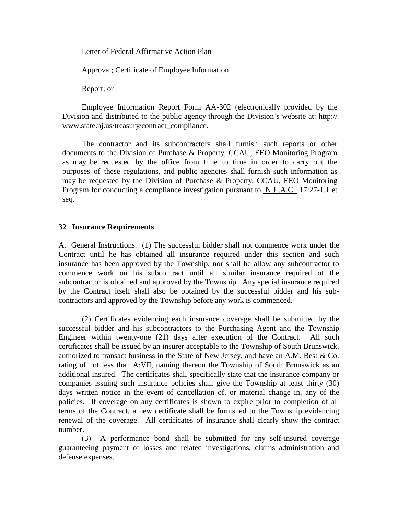Letter of Federal Affirmative Action Plan

Approval; Certificate of Employee Information

Report; or

Employee Information Report Form AA-302 (electronically provided by the Division and distributed to the public agency through the Division's website at: http:/[/](http://www.state.nj.us/treasury/contract_compliance) [www.state.nj.us/treasury/contract\\_compliance.](http://www.state.nj.us/treasury/contract_compliance)

The contractor and its subcontractors shall furnish such reports or other documents to the Division of Purchase & Property, CCAU, EEO Monitoring Program as may be requested by the office from time to time in order to carry out the purposes of these regulations, and public agencies shall furnish such information as may be requested by the Division of Purchase & Property, CCAU, EEO Monitoring Program for conducting a compliance investigation pursuant to N.J .A.C. 17:27-1.1 et seq.

#### **32**. **Insurance Requirements**.

A. General Instructions. (1) The successful bidder shall not commence work under the Contract until he has obtained all insurance required under this section and such insurance has been approved by the Township, nor shall he allow any subcontractor to commence work on his subcontract until all similar insurance required of the subcontractor is obtained and approved by the Township. Any special insurance required by the Contract itself shall also be obtained by the successful bidder and his subcontractors and approved by the Township before any work is commenced.

(2) Certificates evidencing each insurance coverage shall be submitted by the successful bidder and his subcontractors to the Purchasing Agent and the Township Engineer within twenty-one (21) days after execution of the Contract. All such certificates shall be issued by an insurer acceptable to the Township of South Brunswick, authorized to transact business in the State of New Jersey, and have an A.M. Best & Co. rating of not less than A:VII, naming thereon the Township of South Brunswick as an additional insured. The certificates shall specifically state that the insurance company or companies issuing such insurance policies shall give the Township at least thirty (30) days written notice in the event of cancellation of, or material change in, any of the policies. If coverage on any certificates is shown to expire prior to completion of all terms of the Contract, a new certificate shall be furnished to the Township evidencing renewal of the coverage. All certificates of insurance shall clearly show the contract number.

(3) A performance bond shall be submitted for any self-insured coverage guaranteeing payment of losses and related investigations, claims administration and defense expenses.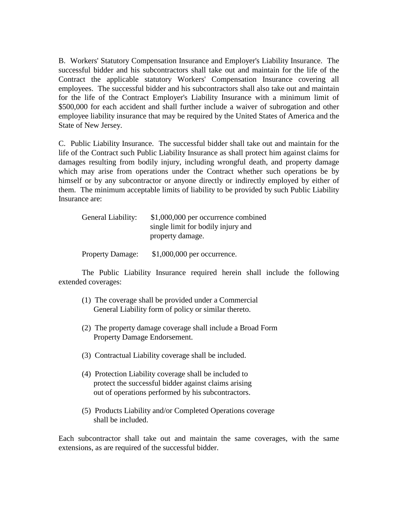B. Workers' Statutory Compensation Insurance and Employer's Liability Insurance. The successful bidder and his subcontractors shall take out and maintain for the life of the Contract the applicable statutory Workers' Compensation Insurance covering all employees. The successful bidder and his subcontractors shall also take out and maintain for the life of the Contract Employer's Liability Insurance with a minimum limit of \$500,000 for each accident and shall further include a waiver of subrogation and other employee liability insurance that may be required by the United States of America and the State of New Jersey.

C. Public Liability Insurance. The successful bidder shall take out and maintain for the life of the Contract such Public Liability Insurance as shall protect him against claims for damages resulting from bodily injury, including wrongful death, and property damage which may arise from operations under the Contract whether such operations be by himself or by any subcontractor or anyone directly or indirectly employed by either of them. The minimum acceptable limits of liability to be provided by such Public Liability Insurance are:

| General Liability:      | \$1,000,000 per occurrence combined<br>single limit for bodily injury and<br>property damage. |  |
|-------------------------|-----------------------------------------------------------------------------------------------|--|
| <b>Property Damage:</b> | $$1,000,000$ per occurrence.                                                                  |  |

The Public Liability Insurance required herein shall include the following extended coverages:

- (1) The coverage shall be provided under a Commercial General Liability form of policy or similar thereto.
- (2) The property damage coverage shall include a Broad Form Property Damage Endorsement.
- (3) Contractual Liability coverage shall be included.
- (4) Protection Liability coverage shall be included to protect the successful bidder against claims arising out of operations performed by his subcontractors.
- (5) Products Liability and/or Completed Operations coverage shall be included.

Each subcontractor shall take out and maintain the same coverages, with the same extensions, as are required of the successful bidder.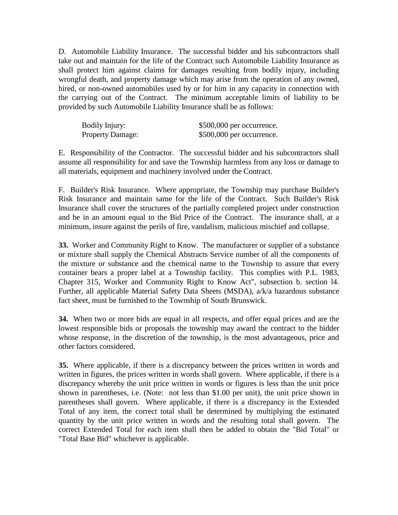D. Automobile Liability Insurance. The successful bidder and his subcontractors shall take out and maintain for the life of the Contract such Automobile Liability Insurance as shall protect him against claims for damages resulting from bodily injury, including wrongful death, and property damage which may arise from the operation of any owned, hired, or non-owned automobiles used by or for him in any capacity in connection with the carrying out of the Contract. The minimum acceptable limits of liability to be provided by such Automobile Liability Insurance shall be as follows:

| Bodily Injury:          | \$500,000 per occurrence.  |
|-------------------------|----------------------------|
| <b>Property Damage:</b> | $$500,000$ per occurrence. |

E. Responsibility of the Contractor. The successful bidder and his subcontractors shall assume all responsibility for and save the Township harmless from any loss or damage to all materials, equipment and machinery involved under the Contract.

F. Builder's Risk Insurance. Where appropriate, the Township may purchase Builder's Risk Insurance and maintain same for the life of the Contract. Such Builder's Risk Insurance shall cover the structures of the partially completed project under construction and be in an amount equal to the Bid Price of the Contract. The insurance shall, at a minimum, insure against the perils of fire, vandalism, malicious mischief and collapse.

**33.** Worker and Community Right to Know. The manufacturer or supplier of a substance or mixture shall supply the Chemical Abstracts Service number of all the components of the mixture or substance and the chemical name to the Township to assure that every container bears a proper label at a Township facility. This complies with P.L. 1983, Chapter 315, Worker and Community Right to Know Act", subsection b. section l4. Further, all applicable Material Safety Data Sheets (MSDA), a/k/a hazardous substance fact sheet, must be furnished to the Township of South Brunswick.

**34.** When two or more bids are equal in all respects, and offer equal prices and are the lowest responsible bids or proposals the township may award the contract to the bidder whose response, in the discretion of the township, is the most advantageous, price and other factors considered.

**35.** Where applicable, if there is a discrepancy between the prices written in words and written in figures, the prices written in words shall govern. Where applicable, if there is a discrepancy whereby the unit price written in words or figures is less than the unit price shown in parentheses, i.e. (Note: not less than \$1.00 per unit), the unit price shown in parentheses shall govern. Where applicable, if there is a discrepancy in the Extended Total of any item, the correct total shall be determined by multiplying the estimated quantity by the unit price written in words and the resulting total shall govern. The correct Extended Total for each item shall then be added to obtain the "Bid Total" or "Total Base Bid" whichever is applicable.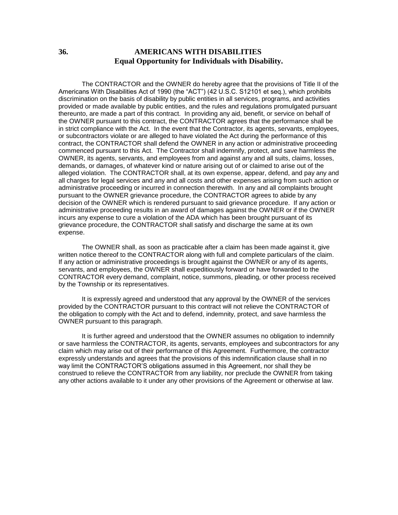#### **36. AMERICANS WITH DISABILITIES Equal Opportunity for Individuals with Disability.**

The CONTRACTOR and the OWNER do hereby agree that the provisions of Title II of the Americans With Disabilities Act of 1990 (the "ACT") (42 U.S.C. S12101 et seq.), which prohibits discrimination on the basis of disability by public entities in all services, programs, and activities provided or made available by public entities, and the rules and regulations promulgated pursuant thereunto, are made a part of this contract. In providing any aid, benefit, or service on behalf of the OWNER pursuant to this contract, the CONTRACTOR agrees that the performance shall be in strict compliance with the Act. In the event that the Contractor, its agents, servants, employees, or subcontractors violate or are alleged to have violated the Act during the performance of this contract, the CONTRACTOR shall defend the OWNER in any action or administrative proceeding commenced pursuant to this Act. The Contractor shall indemnify, protect, and save harmless the OWNER, its agents, servants, and employees from and against any and all suits, claims, losses, demands, or damages, of whatever kind or nature arising out of or claimed to arise out of the alleged violation. The CONTRACTOR shall, at its own expense, appear, defend, and pay any and all charges for legal services and any and all costs and other expenses arising from such action or administrative proceeding or incurred in connection therewith. In any and all complaints brought pursuant to the OWNER grievance procedure, the CONTRACTOR agrees to abide by any decision of the OWNER which is rendered pursuant to said grievance procedure. If any action or administrative proceeding results in an award of damages against the OWNER or if the OWNER incurs any expense to cure a violation of the ADA which has been brought pursuant of its grievance procedure, the CONTRACTOR shall satisfy and discharge the same at its own expense.

The OWNER shall, as soon as practicable after a claim has been made against it, give written notice thereof to the CONTRACTOR along with full and complete particulars of the claim. If any action or administrative proceedings is brought against the OWNER or any of its agents, servants, and employees, the OWNER shall expeditiously forward or have forwarded to the CONTRACTOR every demand, complaint, notice, summons, pleading, or other process received by the Township or its representatives.

It is expressly agreed and understood that any approval by the OWNER of the services provided by the CONTRACTOR pursuant to this contract will not relieve the CONTRACTOR of the obligation to comply with the Act and to defend, indemnity, protect, and save harmless the OWNER pursuant to this paragraph.

It is further agreed and understood that the OWNER assumes no obligation to indemnify or save harmless the CONTRACTOR, its agents, servants, employees and subcontractors for any claim which may arise out of their performance of this Agreement. Furthermore, the contractor expressly understands and agrees that the provisions of this indemnification clause shall in no way limit the CONTRACTOR'S obligations assumed in this Agreement, nor shall they be construed to relieve the CONTRACTOR from any liability, nor preclude the OWNER from taking any other actions available to it under any other provisions of the Agreement or otherwise at law.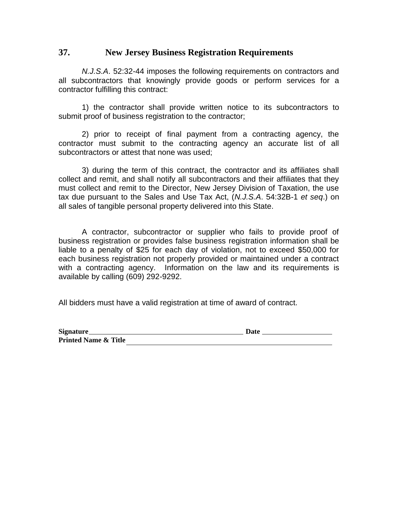## **37. New Jersey Business Registration Requirements**

*N.J.S.A*. 52:32-44 imposes the following requirements on contractors and all subcontractors that knowingly provide goods or perform services for a contractor fulfilling this contract:

1) the contractor shall provide written notice to its subcontractors to submit proof of business registration to the contractor;

2) prior to receipt of final payment from a contracting agency, the contractor must submit to the contracting agency an accurate list of all subcontractors or attest that none was used;

3) during the term of this contract, the contractor and its affiliates shall collect and remit, and shall notify all subcontractors and their affiliates that they must collect and remit to the Director, New Jersey Division of Taxation, the use tax due pursuant to the Sales and Use Tax Act, (*N.J.S.A*. 54:32B-1 *et seq*.) on all sales of tangible personal property delivered into this State.

A contractor, subcontractor or supplier who fails to provide proof of business registration or provides false business registration information shall be liable to a penalty of \$25 for each day of violation, not to exceed \$50,000 for each business registration not properly provided or maintained under a contract with a contracting agency. Information on the law and its requirements is available by calling (609) 292-9292.

All bidders must have a valid registration at time of award of contract.

| Signature_                      | Date |
|---------------------------------|------|
| <b>Printed Name &amp; Title</b> |      |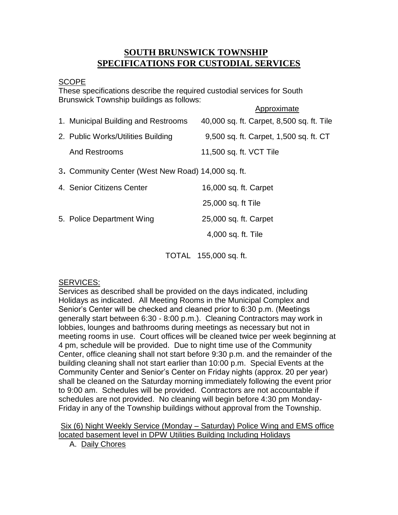## **SOUTH BRUNSWICK TOWNSHIP SPECIFICATIONS FOR CUSTODIAL SERVICES**

## SCOPE

These specifications describe the required custodial services for South Brunswick Township buildings as follows:

|                                                    | Approximate                               |
|----------------------------------------------------|-------------------------------------------|
| 1. Municipal Building and Restrooms                | 40,000 sq. ft. Carpet, 8,500 sq. ft. Tile |
| 2. Public Works/Utilities Building                 | 9,500 sq. ft. Carpet, 1,500 sq. ft. CT    |
| <b>And Restrooms</b>                               | 11,500 sq. ft. VCT Tile                   |
| 3. Community Center (West New Road) 14,000 sq. ft. |                                           |
| 4. Senior Citizens Center                          | 16,000 sq. ft. Carpet                     |
|                                                    | 25,000 sq. ft Tile                        |
| 5. Police Department Wing                          | 25,000 sq. ft. Carpet                     |
|                                                    | 4,000 sq. ft. Tile                        |
|                                                    |                                           |

TOTAL 155,000 sq. ft.

## SERVICES:

Services as described shall be provided on the days indicated, including Holidays as indicated. All Meeting Rooms in the Municipal Complex and Senior's Center will be checked and cleaned prior to 6:30 p.m. (Meetings generally start between 6:30 - 8:00 p.m.). Cleaning Contractors may work in lobbies, lounges and bathrooms during meetings as necessary but not in meeting rooms in use. Court offices will be cleaned twice per week beginning at 4 pm, schedule will be provided. Due to night time use of the Community Center, office cleaning shall not start before 9:30 p.m. and the remainder of the building cleaning shall not start earlier than 10:00 p.m. Special Events at the Community Center and Senior's Center on Friday nights (approx. 20 per year) shall be cleaned on the Saturday morning immediately following the event prior to 9:00 am. Schedules will be provided. Contractors are not accountable if schedules are not provided. No cleaning will begin before 4:30 pm Monday-Friday in any of the Township buildings without approval from the Township.

Six (6) Night Weekly Service (Monday – Saturday) Police Wing and EMS office located basement level in DPW Utilities Building Including Holidays

A. Daily Chores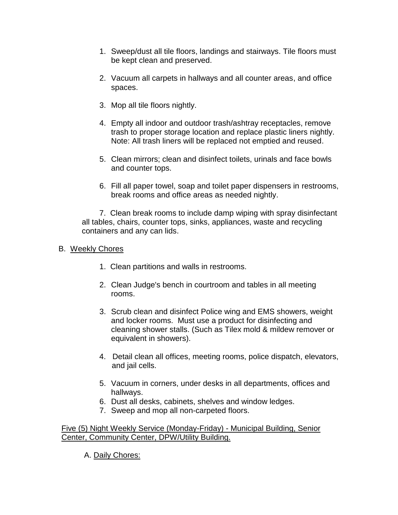- 1. Sweep/dust all tile floors, landings and stairways. Tile floors must be kept clean and preserved.
- 2. Vacuum all carpets in hallways and all counter areas, and office spaces.
- 3. Mop all tile floors nightly.
- 4. Empty all indoor and outdoor trash/ashtray receptacles, remove trash to proper storage location and replace plastic liners nightly. Note: All trash liners will be replaced not emptied and reused.
- 5. Clean mirrors; clean and disinfect toilets, urinals and face bowls and counter tops.
- 6. Fill all paper towel, soap and toilet paper dispensers in restrooms, break rooms and office areas as needed nightly.

 7. Clean break rooms to include damp wiping with spray disinfectant all tables, chairs, counter tops, sinks, appliances, waste and recycling containers and any can lids.

## B. Weekly Chores

- 1. Clean partitions and walls in restrooms.
- 2. Clean Judge's bench in courtroom and tables in all meeting rooms.
- 3. Scrub clean and disinfect Police wing and EMS showers, weight and locker rooms. Must use a product for disinfecting and cleaning shower stalls. (Such as Tilex mold & mildew remover or equivalent in showers).
- 4. Detail clean all offices, meeting rooms, police dispatch, elevators, and jail cells.
- 5. Vacuum in corners, under desks in all departments, offices and hallways.
- 6. Dust all desks, cabinets, shelves and window ledges.
- 7. Sweep and mop all non-carpeted floors.

Five (5) Night Weekly Service (Monday-Friday) - Municipal Building, Senior Center, Community Center, DPW/Utility Building.

A. Daily Chores: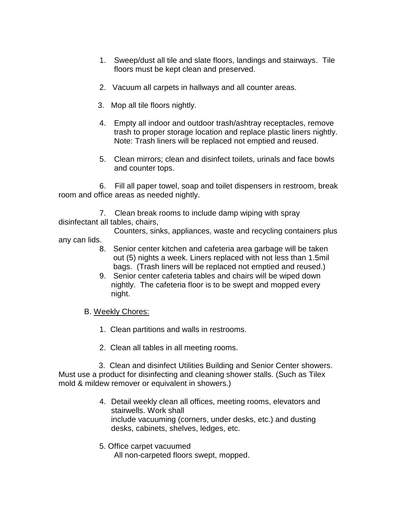- 1. Sweep/dust all tile and slate floors, landings and stairways. Tile floors must be kept clean and preserved.
- 2. Vacuum all carpets in hallways and all counter areas.
- 3. Mop all tile floors nightly.
- 4. Empty all indoor and outdoor trash/ashtray receptacles, remove trash to proper storage location and replace plastic liners nightly. Note: Trash liners will be replaced not emptied and reused.
- 5. Clean mirrors; clean and disinfect toilets, urinals and face bowls and counter tops.

6. Fill all paper towel, soap and toilet dispensers in restroom, break room and office areas as needed nightly.

 7. Clean break rooms to include damp wiping with spray disinfectant all tables, chairs,

Counters, sinks, appliances, waste and recycling containers plus

- any can lids.
	- 8. Senior center kitchen and cafeteria area garbage will be taken out (5) nights a week. Liners replaced with not less than 1.5mil bags. (Trash liners will be replaced not emptied and reused.)
	- 9. Senior center cafeteria tables and chairs will be wiped down nightly. The cafeteria floor is to be swept and mopped every night.
	- B. Weekly Chores:
		- 1. Clean partitions and walls in restrooms.
		- 2. Clean all tables in all meeting rooms.

3. Clean and disinfect Utilities Building and Senior Center showers. Must use a product for disinfecting and cleaning shower stalls. (Such as Tilex mold & mildew remover or equivalent in showers.)

- 4. Detail weekly clean all offices, meeting rooms, elevators and stairwells. Work shall include vacuuming (corners, under desks, etc.) and dusting desks, cabinets, shelves, ledges, etc.
- 5. Office carpet vacuumed All non-carpeted floors swept, mopped.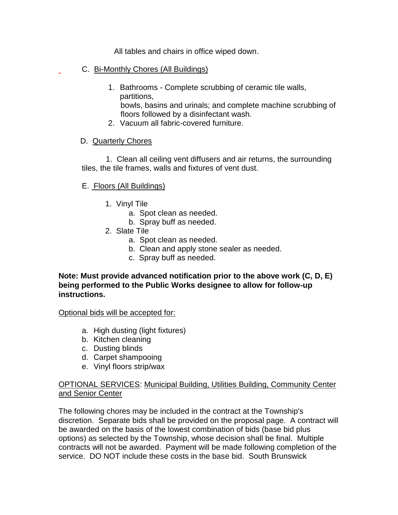All tables and chairs in office wiped down.

- C. Bi-Monthly Chores (All Buildings)
	- 1. Bathrooms Complete scrubbing of ceramic tile walls, partitions, bowls, basins and urinals; and complete machine scrubbing of floors followed by a disinfectant wash.
	- 2. Vacuum all fabric-covered furniture.

## D. Quarterly Chores

 1. Clean all ceiling vent diffusers and air returns, the surrounding tiles, the tile frames, walls and fixtures of vent dust.

## E. Floors (All Buildings)

- 1. Vinyl Tile
	- a. Spot clean as needed.
	- b. Spray buff as needed.
- 2. Slate Tile
	- a. Spot clean as needed.
	- b. Clean and apply stone sealer as needed.
	- c. Spray buff as needed.

## **Note: Must provide advanced notification prior to the above work (C, D, E) being performed to the Public Works designee to allow for follow-up instructions.**

Optional bids will be accepted for:

- a. High dusting (light fixtures)
- b. Kitchen cleaning
- c. Dusting blinds
- d. Carpet shampooing
- e. Vinyl floors strip/wax

## OPTIONAL SERVICES: Municipal Building, Utilities Building, Community Center and Senior Center

The following chores may be included in the contract at the Township's discretion. Separate bids shall be provided on the proposal page. A contract will be awarded on the basis of the lowest combination of bids (base bid plus options) as selected by the Township, whose decision shall be final. Multiple contracts will not be awarded. Payment will be made following completion of the service. DO NOT include these costs in the base bid. South Brunswick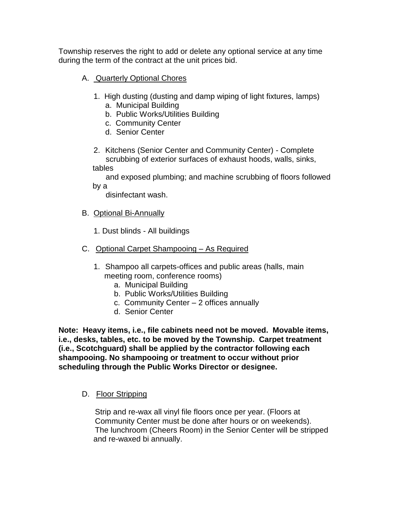Township reserves the right to add or delete any optional service at any time during the term of the contract at the unit prices bid.

- A. Quarterly Optional Chores
	- 1. High dusting (dusting and damp wiping of light fixtures, lamps) a. Municipal Building
		- b. Public Works/Utilities Building
		- c. Community Center
		- d. Senior Center
	- 2. Kitchens (Senior Center and Community Center) Complete scrubbing of exterior surfaces of exhaust hoods, walls, sinks, tables

 and exposed plumbing; and machine scrubbing of floors followed by a

disinfectant wash.

- B. Optional Bi-Annually
	- 1. Dust blinds All buildings
- C. Optional Carpet Shampooing As Required
	- 1. Shampoo all carpets-offices and public areas (halls, main meeting room, conference rooms)
		- a. Municipal Building
		- b. Public Works/Utilities Building
		- c. Community Center 2 offices annually
		- d. Senior Center

**Note: Heavy items, i.e., file cabinets need not be moved. Movable items, i.e., desks, tables, etc. to be moved by the Township. Carpet treatment (i.e., Scotchguard) shall be applied by the contractor following each shampooing. No shampooing or treatment to occur without prior scheduling through the Public Works Director or designee.**

D. Floor Stripping

 Strip and re-wax all vinyl file floors once per year. (Floors at Community Center must be done after hours or on weekends). The lunchroom (Cheers Room) in the Senior Center will be stripped and re-waxed bi annually.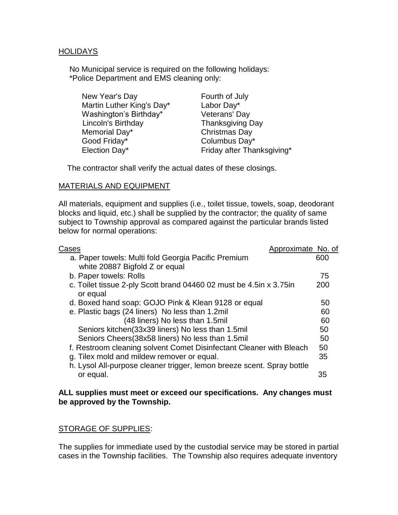## HOLIDAYS

 No Municipal service is required on the following holidays: \*Police Department and EMS cleaning only:

| New Year's Day            | Fourth of July             |
|---------------------------|----------------------------|
| Martin Luther King's Day* | Labor Day*                 |
| Washington's Birthday*    | Veterans' Day              |
| Lincoln's Birthday        | <b>Thanksgiving Day</b>    |
| Memorial Day*             | <b>Christmas Day</b>       |
| Good Friday*              | Columbus Day*              |
| Election Day*             | Friday after Thanksgiving* |

The contractor shall verify the actual dates of these closings.

#### MATERIALS AND EQUIPMENT

All materials, equipment and supplies (i.e., toilet tissue, towels, soap, deodorant blocks and liquid, etc.) shall be supplied by the contractor; the quality of same subject to Township approval as compared against the particular brands listed below for normal operations:

| Cases                                                                            | Approximate No. of |
|----------------------------------------------------------------------------------|--------------------|
| a. Paper towels: Multi fold Georgia Pacific Premium                              | 600                |
| white 20887 Bigfold Z or equal                                                   |                    |
| b. Paper towels: Rolls                                                           | 75                 |
| c. Toilet tissue 2-ply Scott brand 04460 02 must be 4.5 in x 3.75 in<br>or equal | 200                |
| d. Boxed hand soap: GOJO Pink & Klean 9128 or equal                              | 50                 |
| e. Plastic bags (24 liners) No less than 1.2mil                                  | 60                 |
| (48 liners) No less than 1.5mil                                                  | 60                 |
| Seniors kitchen(33x39 liners) No less than 1.5mil                                | 50                 |
| Seniors Cheers (38x58 liners) No less than 1.5mil                                | 50                 |
| f. Restroom cleaning solvent Comet Disinfectant Cleaner with Bleach              | 50                 |
| g. Tilex mold and mildew remover or equal.                                       | 35                 |
| h. Lysol All-purpose cleaner trigger, lemon breeze scent. Spray bottle           |                    |
| or equal.                                                                        | 35                 |

#### **ALL supplies must meet or exceed our specifications. Any changes must be approved by the Township.**

## STORAGE OF SUPPLIES:

The supplies for immediate used by the custodial service may be stored in partial cases in the Township facilities. The Township also requires adequate inventory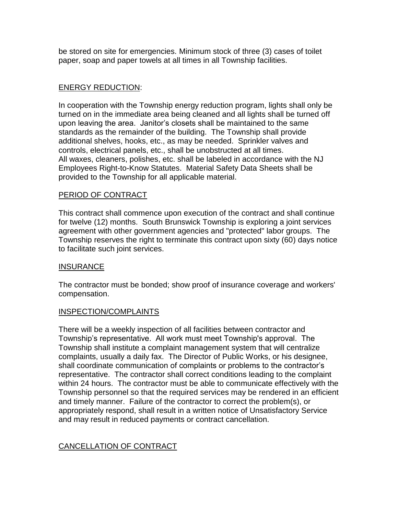be stored on site for emergencies. Minimum stock of three (3) cases of toilet paper, soap and paper towels at all times in all Township facilities.

## ENERGY REDUCTION:

In cooperation with the Township energy reduction program, lights shall only be turned on in the immediate area being cleaned and all lights shall be turned off upon leaving the area. Janitor's closets shall be maintained to the same standards as the remainder of the building. The Township shall provide additional shelves, hooks, etc., as may be needed. Sprinkler valves and controls, electrical panels, etc., shall be unobstructed at all times. All waxes, cleaners, polishes, etc. shall be labeled in accordance with the NJ Employees Right-to-Know Statutes. Material Safety Data Sheets shall be provided to the Township for all applicable material.

## PERIOD OF CONTRACT

This contract shall commence upon execution of the contract and shall continue for twelve (12) months. South Brunswick Township is exploring a joint services agreement with other government agencies and "protected" labor groups. The Township reserves the right to terminate this contract upon sixty (60) days notice to facilitate such joint services.

## INSURANCE

The contractor must be bonded; show proof of insurance coverage and workers' compensation.

## INSPECTION/COMPLAINTS

There will be a weekly inspection of all facilities between contractor and Township's representative. All work must meet Township's approval. The Township shall institute a complaint management system that will centralize complaints, usually a daily fax. The Director of Public Works, or his designee, shall coordinate communication of complaints or problems to the contractor's representative. The contractor shall correct conditions leading to the complaint within 24 hours. The contractor must be able to communicate effectively with the Township personnel so that the required services may be rendered in an efficient and timely manner. Failure of the contractor to correct the problem(s), or appropriately respond, shall result in a written notice of Unsatisfactory Service and may result in reduced payments or contract cancellation.

## CANCELLATION OF CONTRACT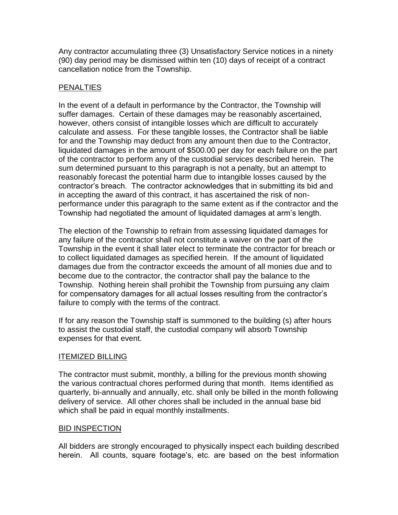Any contractor accumulating three (3) Unsatisfactory Service notices in a ninety (90) day period may be dismissed within ten (10) days of receipt of a contract cancellation notice from the Township.

## PENALTIES

In the event of a default in performance by the Contractor, the Township will suffer damages. Certain of these damages may be reasonably ascertained, however, others consist of intangible losses which are difficult to accurately calculate and assess. For these tangible losses, the Contractor shall be liable for and the Township may deduct from any amount then due to the Contractor, liquidated damages in the amount of \$500.00 per day for each failure on the part of the contractor to perform any of the custodial services described herein. The sum determined pursuant to this paragraph is not a penalty, but an attempt to reasonably forecast the potential harm due to intangible losses caused by the contractor's breach. The contractor acknowledges that in submitting its bid and in accepting the award of this contract, it has ascertained the risk of nonperformance under this paragraph to the same extent as if the contractor and the Township had negotiated the amount of liquidated damages at arm's length.

The election of the Township to refrain from assessing liquidated damages for any failure of the contractor shall not constitute a waiver on the part of the Township in the event it shall later elect to terminate the contractor for breach or to collect liquidated damages as specified herein. If the amount of liquidated damages due from the contractor exceeds the amount of all monies due and to become due to the contractor, the contractor shall pay the balance to the Township. Nothing herein shall prohibit the Township from pursuing any claim for compensatory damages for all actual losses resulting from the contractor's failure to comply with the terms of the contract.

If for any reason the Township staff is summoned to the building (s) after hours to assist the custodial staff, the custodial company will absorb Township expenses for that event.

## ITEMIZED BILLING

The contractor must submit, monthly, a billing for the previous month showing the various contractual chores performed during that month. Items identified as quarterly, bi-annually and annually, etc. shall only be billed in the month following delivery of service. All other chores shall be included in the annual base bid which shall be paid in equal monthly installments.

## BID INSPECTION

All bidders are strongly encouraged to physically inspect each building described herein. All counts, square footage's, etc. are based on the best information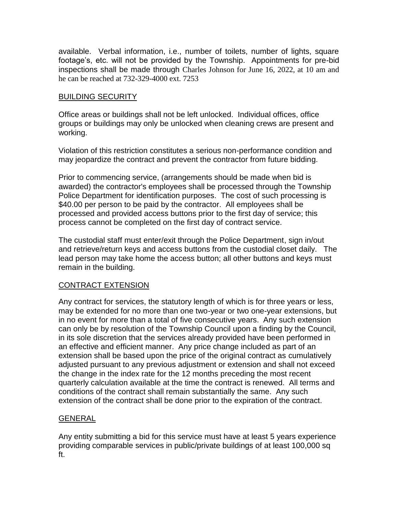available. Verbal information, i.e., number of toilets, number of lights, square footage's, etc. will not be provided by the Township. Appointments for pre-bid inspections shall be made through Charles Johnson for June 16, 2022, at 10 am and he can be reached at 732-329-4000 ext. 7253

## BUILDING SECURITY

Office areas or buildings shall not be left unlocked. Individual offices, office groups or buildings may only be unlocked when cleaning crews are present and working.

Violation of this restriction constitutes a serious non-performance condition and may jeopardize the contract and prevent the contractor from future bidding.

Prior to commencing service, (arrangements should be made when bid is awarded) the contractor's employees shall be processed through the Township Police Department for identification purposes. The cost of such processing is \$40.00 per person to be paid by the contractor. All employees shall be processed and provided access buttons prior to the first day of service; this process cannot be completed on the first day of contract service.

The custodial staff must enter/exit through the Police Department, sign in/out and retrieve/return keys and access buttons from the custodial closet daily. The lead person may take home the access button; all other buttons and keys must remain in the building.

## CONTRACT EXTENSION

Any contract for services, the statutory length of which is for three years or less, may be extended for no more than one two-year or two one-year extensions, but in no event for more than a total of five consecutive years. Any such extension can only be by resolution of the Township Council upon a finding by the Council, in its sole discretion that the services already provided have been performed in an effective and efficient manner. Any price change included as part of an extension shall be based upon the price of the original contract as cumulatively adjusted pursuant to any previous adjustment or extension and shall not exceed the change in the index rate for the 12 months preceding the most recent quarterly calculation available at the time the contract is renewed. All terms and conditions of the contract shall remain substantially the same. Any such extension of the contract shall be done prior to the expiration of the contract.

## GENERAL

Any entity submitting a bid for this service must have at least 5 years experience providing comparable services in public/private buildings of at least 100,000 sq ft.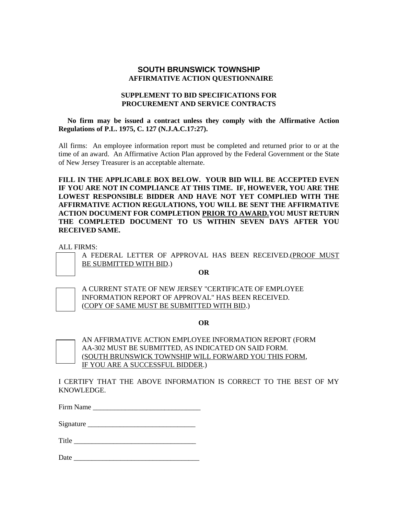#### **SOUTH BRUNSWICK TOWNSHIP AFFIRMATIVE ACTION QUESTIONNAIRE**

#### **SUPPLEMENT TO BID SPECIFICATIONS FOR PROCUREMENT AND SERVICE CONTRACTS**

 **No firm may be issued a contract unless they comply with the Affirmative Action Regulations of P.L. 1975, C. 127 (N.J.A.C.17:27).**

All firms: An employee information report must be completed and returned prior to or at the time of an award. An Affirmative Action Plan approved by the Federal Government or the State of New Jersey Treasurer is an acceptable alternate.

**FILL IN THE APPLICABLE BOX BELOW. YOUR BID WILL BE ACCEPTED EVEN IF YOU ARE NOT IN COMPLIANCE AT THIS TIME. IF, HOWEVER, YOU ARE THE LOWEST RESPONSIBLE BIDDER AND HAVE NOT YET COMPLIED WITH THE AFFIRMATIVE ACTION REGULATIONS, YOU WILL BE SENT THE AFFIRMATIVE ACTION DOCUMENT FOR COMPLETION PRIOR TO AWARD.YOU MUST RETURN THE COMPLETED DOCUMENT TO US WITHIN SEVEN DAYS AFTER YOU RECEIVED SAME.**

ALL FIRMS:

A FEDERAL LETTER OF APPROVAL HAS BEEN RECEIVED.(PROOF MUST BE SUBMITTED WITH BID.)

**OR** 



A CURRENT STATE OF NEW JERSEY "CERTIFICATE OF EMPLOYEE INFORMATION REPORT OF APPROVAL" HAS BEEN RECEIVED. (COPY OF SAME MUST BE SUBMITTED WITH BID.)

**OR**



AN AFFIRMATIVE ACTION EMPLOYEE INFORMATION REPORT (FORM AA-302 MUST BE SUBMITTED, AS INDICATED ON SAID FORM. (SOUTH BRUNSWICK TOWNSHIP WILL FORWARD YOU THIS FORM, IF YOU ARE A SUCCESSFUL BIDDER.)

I CERTIFY THAT THE ABOVE INFORMATION IS CORRECT TO THE BEST OF MY KNOWLEDGE.

| Firm Name |  |
|-----------|--|
|-----------|--|

Signature \_\_\_\_\_\_\_\_\_\_\_\_\_\_\_\_\_\_\_\_\_\_\_\_\_\_\_\_\_\_

Title \_\_\_\_\_\_\_\_\_\_\_\_\_\_\_\_\_\_\_\_\_\_\_\_\_\_\_\_\_\_\_\_\_\_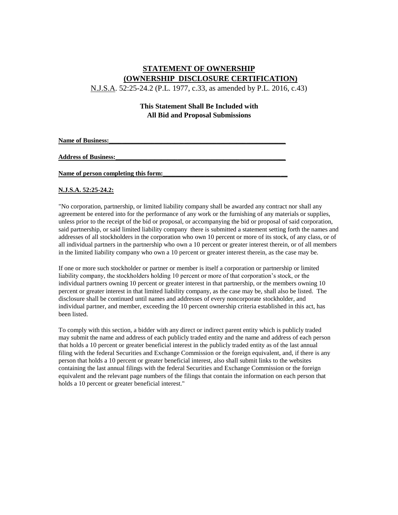## **STATEMENT OF OWNERSHIP (OWNERSHIP DISCLOSURE CERTIFICATION)**

N.J.S.A. 52:25-24.2 (P.L. 1977, c.33, as amended by P.L. 2016, c.43)

#### **This Statement Shall Be Included with All Bid and Proposal Submissions**

Name of Business:

**Address of Business:\_\_\_\_\_\_\_\_\_\_\_\_\_\_\_\_\_\_\_\_\_\_\_\_\_\_\_\_\_\_\_\_\_\_\_\_\_\_\_\_\_\_\_\_\_\_\_\_\_\_\_\_**

#### Name of person completing this form:

#### **N.J.S.A. 52:25-24.2:**

"No corporation, partnership, or limited liability company shall be awarded any contract nor shall any agreement be entered into for the performance of any work or the furnishing of any materials or supplies, unless prior to the receipt of the bid or proposal, or accompanying the bid or proposal of said corporation, said partnership, or said limited liability company there is submitted a statement setting forth the names and addresses of all stockholders in the corporation who own 10 percent or more of its stock, of any class, or of all individual partners in the partnership who own a 10 percent or greater interest therein, or of all members in the limited liability company who own a 10 percent or greater interest therein, as the case may be.

If one or more such stockholder or partner or member is itself a corporation or partnership or limited liability company, the stockholders holding 10 percent or more of that corporation's stock, or the individual partners owning 10 percent or greater interest in that partnership, or the members owning 10 percent or greater interest in that limited liability company, as the case may be, shall also be listed. The disclosure shall be continued until names and addresses of every noncorporate stockholder, and individual partner, and member, exceeding the 10 percent ownership criteria established in this act, has been listed.

To comply with this section, a bidder with any direct or indirect parent entity which is publicly traded may submit the name and address of each publicly traded entity and the name and address of each person that holds a 10 percent or greater beneficial interest in the publicly traded entity as of the last annual filing with the federal Securities and Exchange Commission or the foreign equivalent, and, if there is any person that holds a 10 percent or greater beneficial interest, also shall submit links to the websites containing the last annual filings with the federal Securities and Exchange Commission or the foreign equivalent and the relevant page numbers of the filings that contain the information on each person that holds a 10 percent or greater beneficial interest."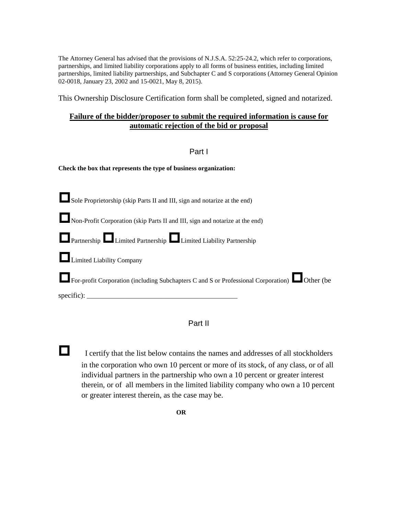The Attorney General has advised that the provisions of N.J.S.A. 52:25-24.2, which refer to corporations, partnerships, and limited liability corporations apply to all forms of business entities, including limited partnerships, limited liability partnerships, and Subchapter C and S corporations (Attorney General Opinion 02-0018, January 23, 2002 and 15-0021, May 8, 2015).

This Ownership Disclosure Certification form shall be completed, signed and notarized.

#### **Failure of the bidder/proposer to submit the required information is cause for automatic rejection of the bid or proposal**

Part I

**Check the box that represents the type of business organization:** 

| Sole Proprietorship (skip Parts II and III, sign and notarize at the end)                                              |
|------------------------------------------------------------------------------------------------------------------------|
| Non-Profit Corporation (skip Parts II and III, sign and notarize at the end)                                           |
| <b>Example 2</b> Limited Partnership Limited Liability Partnership                                                     |
| Limited Liability Company                                                                                              |
| <b>Example 1</b> For-profit Corporation (including Subchapters C and S or Professional Corporation) <b>C</b> Other (be |
|                                                                                                                        |

## Part II

I certify that the list below contains the names and addresses of all stockholders in the corporation who own 10 percent or more of its stock, of any class, or of all individual partners in the partnership who own a 10 percent or greater interest therein, or of all members in the limited liability company who own a 10 percent or greater interest therein, as the case may be.

**OR**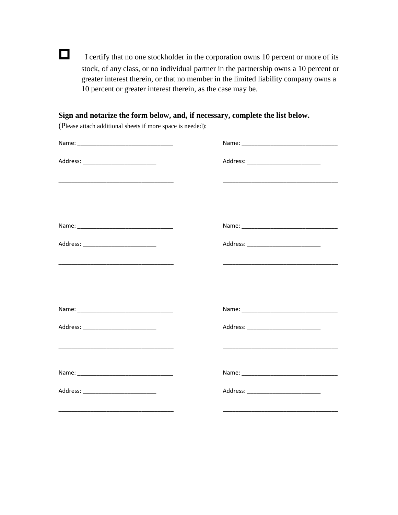I certify that no one stockholder in the corporation owns 10 percent or more of its stock, of any class, or no individual partner in the partnership owns a 10 percent or greater interest therein, or that no member in the limited liability company owns a 10 percent or greater interest therein, as the case may be.

**Sign and notarize the form below, and, if necessary, complete the list below.** 

(Please attach additional sheets if more space is needed):

| Address: ______________________________ |                                                                                                                      |
|-----------------------------------------|----------------------------------------------------------------------------------------------------------------------|
|                                         |                                                                                                                      |
|                                         |                                                                                                                      |
|                                         |                                                                                                                      |
| Address: __________________________     | Address: ___________________________                                                                                 |
|                                         | <u> 1989 - Johann Stein, mars an deutscher Stein und der Stein und der Stein und der Stein und der Stein und der</u> |
|                                         |                                                                                                                      |
|                                         |                                                                                                                      |
| Address: ____________________________   | Address: ___________________________                                                                                 |
|                                         |                                                                                                                      |
|                                         |                                                                                                                      |
| Address: ___________________________    | Address: ____________________________                                                                                |
|                                         |                                                                                                                      |

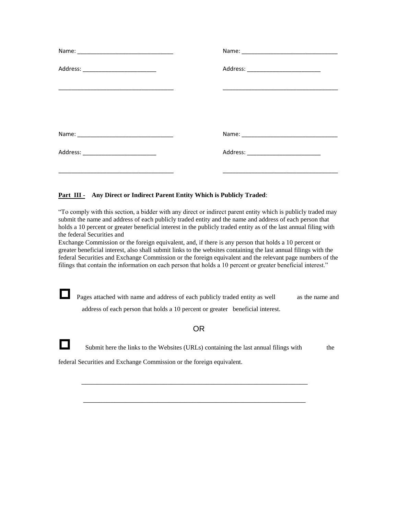| Address: ____________________________ |                                       |
|---------------------------------------|---------------------------------------|
|                                       |                                       |
|                                       |                                       |
|                                       |                                       |
| Address: ____________________________ | Address: ____________________________ |
|                                       |                                       |

#### **Part III - Any Direct or Indirect Parent Entity Which is Publicly Traded:**

"To comply with this section, a bidder with any direct or indirect parent entity which is publicly traded may submit the name and address of each publicly traded entity and the name and address of each person that holds a 10 percent or greater beneficial interest in the publicly traded entity as of the last annual filing with the federal Securities and

Exchange Commission or the foreign equivalent, and, if there is any person that holds a 10 percent or greater beneficial interest, also shall submit links to the websites containing the last annual filings with the federal Securities and Exchange Commission or the foreign equivalent and the relevant page numbers of the filings that contain the information on each person that holds a 10 percent or greater beneficial interest."

**Pages attached with name and address of each publicly traded entity as well** as the name and address of each person that holds a 10 percent or greater beneficial interest.

#### OR

Submit here the links to the Websites (URLs) containing the last annual filings with the

\_\_\_\_\_\_\_\_\_\_\_\_\_\_\_\_\_\_\_\_\_\_\_\_\_\_\_\_\_\_\_\_\_\_\_\_\_\_\_\_\_\_\_\_\_\_\_\_\_\_\_\_\_\_\_\_\_\_

\_\_\_\_\_\_\_\_\_\_\_\_\_\_\_\_\_\_\_\_\_\_\_\_\_\_\_\_\_\_\_\_\_\_\_\_\_\_\_\_\_\_\_\_\_\_\_\_\_\_\_\_\_\_\_\_\_

federal Securities and Exchange Commission or the foreign equivalent.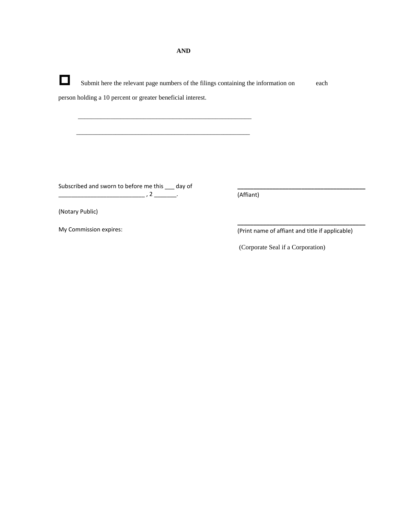Submit here the relevant page numbers of the filings containing the information on each person holding a 10 percent or greater beneficial interest. \_\_\_\_\_\_\_\_\_\_\_\_\_\_\_\_\_\_\_\_\_\_\_\_\_\_\_\_\_\_\_\_\_\_\_\_\_\_\_\_\_\_\_\_\_\_\_\_\_\_\_\_\_ \_\_\_\_\_\_\_\_\_\_\_\_\_\_\_\_\_\_\_\_\_\_\_\_\_\_\_\_\_\_\_\_\_\_\_\_\_\_\_\_\_\_\_\_\_\_\_\_\_\_\_\_\_ Subscribed and sworn to before me this \_\_\_ day of \_\_\_\_\_\_\_\_\_\_\_\_\_\_\_\_\_\_\_\_\_\_\_\_\_\_\_ , 2 \_\_\_\_\_\_\_. (Notary Public) **\_\_\_\_\_\_\_\_\_\_\_\_\_\_\_\_\_\_\_\_\_\_\_\_\_\_\_\_\_\_\_\_\_\_\_\_\_\_\_\_**  (Affiant) **\_\_\_\_\_\_\_\_\_\_\_\_\_\_\_\_\_\_\_\_\_\_\_\_\_\_\_\_\_\_\_\_\_\_\_\_\_\_\_\_** 

My Commission expires:

(Print name of affiant and title if applicable)

(Corporate Seal if a Corporation)

**AND**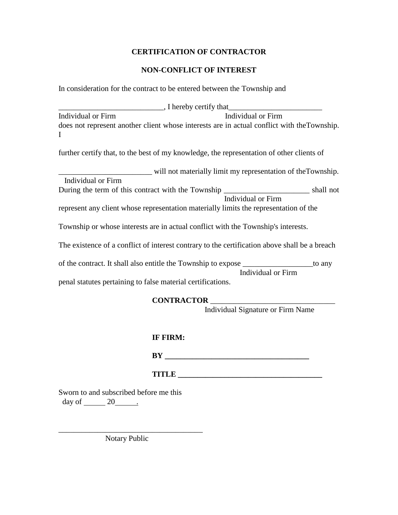## **CERTIFICATION OF CONTRACTOR**

## **NON-CONFLICT OF INTEREST**

In consideration for the contract to be entered between the Township and

| , I hereby certify that |                                                                                             |
|-------------------------|---------------------------------------------------------------------------------------------|
| Individual or Firm      | Individual or Firm                                                                          |
|                         | does not represent another client whose interests are in actual conflict with the Township. |
|                         |                                                                                             |

further certify that, to the best of my knowledge, the representation of other clients of

|                    | will not materially limit my representation of the Township. |
|--------------------|--------------------------------------------------------------|
| Individual or Firm |                                                              |

During the term of this contract with the Township \_\_\_\_\_\_\_\_\_\_\_\_\_\_\_\_\_\_\_\_\_\_ shall not Individual or Firm

represent any client whose representation materially limits the representation of the

Township or whose interests are in actual conflict with the Township's interests.

The existence of a conflict of interest contrary to the certification above shall be a breach

of the contract. It shall also entitle the Township to expose \_\_\_\_\_\_\_\_\_\_\_\_\_\_\_\_\_\_to any Individual or Firm

penal statutes pertaining to false material certifications.

#### **CONTRACTOR** \_\_\_\_\_\_\_\_\_\_\_\_\_\_\_\_\_\_\_\_\_\_\_\_\_\_\_\_\_\_\_\_

Individual Signature or Firm Name

## **IF FIRM:**

**BY \_\_\_\_\_\_\_\_\_\_\_\_\_\_\_\_\_\_\_\_\_\_\_\_\_\_\_\_\_\_\_\_\_\_\_\_\_**

**TITLE** 

Sworn to and subscribed before me this day of  $\_\_\_\_$  20  $\_\_\_\$ 

Notary Public

\_\_\_\_\_\_\_\_\_\_\_\_\_\_\_\_\_\_\_\_\_\_\_\_\_\_\_\_\_\_\_\_\_\_\_\_\_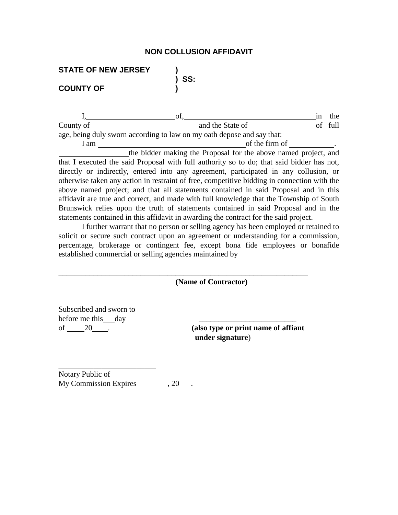#### **NON COLLUSION AFFIDAVIT**

**) SS:**

| <b>STATE OF NEW JERSEY</b> |  |
|----------------------------|--|
|                            |  |
| <b>COUNTY OF</b>           |  |

I, of, of, in the same of  $\frac{1}{2}$  in the same of  $\frac{1}{2}$  in the same of  $\frac{1}{2}$  in the same of  $\frac{1}{2}$  in the same of  $\frac{1}{2}$  in the same of  $\frac{1}{2}$  in the same of  $\frac{1}{2}$  in the same of  $\frac{1}{2}$  in the same County of <u>and the State of</u> and the State of of full of full of the State of of the State of of the State of of the State of  $\sim$ age, being duly sworn according to law on my oath depose and say that: I am of the firm of .

the bidder making the Proposal for the above named project, and that I executed the said Proposal with full authority so to do; that said bidder has not, directly or indirectly, entered into any agreement, participated in any collusion, or otherwise taken any action in restraint of free, competitive bidding in connection with the above named project; and that all statements contained in said Proposal and in this affidavit are true and correct, and made with full knowledge that the Township of South Brunswick relies upon the truth of statements contained in said Proposal and in the statements contained in this affidavit in awarding the contract for the said project.

I further warrant that no person or selling agency has been employed or retained to solicit or secure such contract upon an agreement or understanding for a commission, percentage, brokerage or contingent fee, except bona fide employees or bonafide established commercial or selling agencies maintained by

\_\_\_\_\_\_\_\_\_\_\_\_\_\_\_\_\_\_\_\_\_\_\_\_\_\_\_\_\_\_\_\_\_\_\_\_\_\_\_\_\_\_\_\_\_\_\_\_\_\_\_\_\_\_\_\_\_\_\_\_\_\_\_\_

**(Name of Contractor)**

Subscribed and sworn to before me this day

\_\_\_\_\_\_\_\_\_\_\_\_\_\_\_\_\_\_\_\_\_\_\_\_\_

of 20 . **(also type or print name of affiant under signature**)

Notary Public of My Commission Expires , 20 .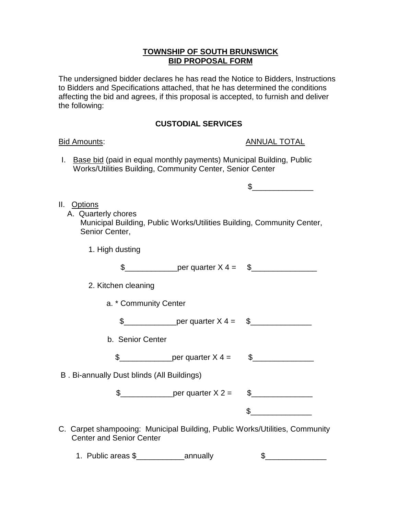## **TOWNSHIP OF SOUTH BRUNSWICK BID PROPOSAL FORM**

The undersigned bidder declares he has read the Notice to Bidders, Instructions to Bidders and Specifications attached, that he has determined the conditions affecting the bid and agrees, if this proposal is accepted, to furnish and deliver the following:

## **CUSTODIAL SERVICES**

## Bid Amounts: ANNUAL TOTAL

I. Base bid (paid in equal monthly payments) Municipal Building, Public Works/Utilities Building, Community Center, Senior Center

 $\mathbb S$ 

## II. Options

- A. Quarterly chores Municipal Building, Public Works/Utilities Building, Community Center, Senior Center,
	- 1. High dusting

|  | per quarter X<br>$4 =$ |  |
|--|------------------------|--|
|--|------------------------|--|

- 2. Kitchen cleaning
	- a. \* Community Center

\$\_\_\_\_\_\_\_\_\_\_\_\_per quarter X 4 = \$\_\_\_\_\_\_\_\_\_\_\_\_\_\_

b. Senior Center

\$\_\_\_\_\_\_\_\_\_\_\_\_per quarter X 4 = \$\_\_\_\_\_\_\_\_\_\_\_\_\_\_

B . Bi-annually Dust blinds (All Buildings)

\$\_\_\_\_\_\_\_\_\_\_\_\_per quarter X 2 = \$\_\_\_\_\_\_\_\_\_\_\_\_\_\_

 $\mathbb S$ 

C. Carpet shampooing: Municipal Building, Public Works/Utilities, Community Center and Senior Center

1. Public areas \$\_\_\_\_\_\_\_\_\_\_\_annually \$\_\_\_\_\_\_\_\_\_\_\_\_\_\_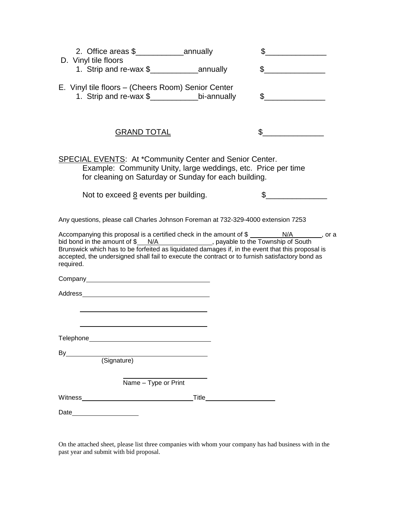|                                                                                                                                                                                                                                                                                                                                                                                                                                                                                                           |                             | \$                                                                                                                                                                                                                                                                                                                                                                                                                                                                                                                                                                                                   |  |
|-----------------------------------------------------------------------------------------------------------------------------------------------------------------------------------------------------------------------------------------------------------------------------------------------------------------------------------------------------------------------------------------------------------------------------------------------------------------------------------------------------------|-----------------------------|------------------------------------------------------------------------------------------------------------------------------------------------------------------------------------------------------------------------------------------------------------------------------------------------------------------------------------------------------------------------------------------------------------------------------------------------------------------------------------------------------------------------------------------------------------------------------------------------------|--|
| D. Vinyl tile floors                                                                                                                                                                                                                                                                                                                                                                                                                                                                                      |                             | $\sim$ $\sim$                                                                                                                                                                                                                                                                                                                                                                                                                                                                                                                                                                                        |  |
| E. Vinyl tile floors - (Cheers Room) Senior Center<br>1. Strip and re-wax \$____________________bi-annually                                                                                                                                                                                                                                                                                                                                                                                               |                             | $\mathbb{S}$                                                                                                                                                                                                                                                                                                                                                                                                                                                                                                                                                                                         |  |
| <b>GRAND TOTAL</b>                                                                                                                                                                                                                                                                                                                                                                                                                                                                                        |                             | \$                                                                                                                                                                                                                                                                                                                                                                                                                                                                                                                                                                                                   |  |
| SPECIAL EVENTS: At *Community Center and Senior Center.<br>for cleaning on Saturday or Sunday for each building.                                                                                                                                                                                                                                                                                                                                                                                          |                             | Example: Community Unity, large weddings, etc. Price per time                                                                                                                                                                                                                                                                                                                                                                                                                                                                                                                                        |  |
| Not to exceed 8 events per building.                                                                                                                                                                                                                                                                                                                                                                                                                                                                      |                             | \$<br>$\begin{tabular}{ccccc} \multicolumn{2}{c }{\textbf{\textcolor{blue}{\bf \textcolor{blue}{\bf \textcolor{blue}{\bf \textcolor{blue}{\bf \textcolor{blue}{\bf \textcolor{blue}{\bf \textcolor{blue}{\bf \textcolor{blue}{\bf \textcolor{blue}{\bf \textcolor{blue}{\bf \textcolor{blue}{\bf \textcolor{blue}{\bf \textcolor{blue}{\bf \textcolor{blue}{\bf \textcolor{blue}{\bf \textcolor{blue}{\bf \textcolor{blue}{\bf \textcolor{blue}{\bf \textcolor{blue}{\bf \textcolor{blue}{\bf \textcolor{blue}{\bf \textcolor{blue}{\bf \textcolor{blue}{\bf \textcolor{blue}{\bf \textcolor{blue}{$ |  |
| Any questions, please call Charles Johnson Foreman at 732-329-4000 extension 7253<br>Accompanying this proposal is a certified check in the amount of \$ ___________________________, or a<br>bid bond in the amount of $\frac{\pi N}{A}$ N/A extending payable to the Township of South Brunswick which has to be forfeited as liquidated damages if, in the event that this proposal is<br>accepted, the undersigned shall fail to execute the contract or to furnish satisfactory bond as<br>required. |                             |                                                                                                                                                                                                                                                                                                                                                                                                                                                                                                                                                                                                      |  |
|                                                                                                                                                                                                                                                                                                                                                                                                                                                                                                           |                             |                                                                                                                                                                                                                                                                                                                                                                                                                                                                                                                                                                                                      |  |
| Address and the contract of the contract of the contract of the contract of the contract of the contract of the contract of the contract of the contract of the contract of the contract of the contract of the contract of th                                                                                                                                                                                                                                                                            |                             |                                                                                                                                                                                                                                                                                                                                                                                                                                                                                                                                                                                                      |  |
| Telephone_                                                                                                                                                                                                                                                                                                                                                                                                                                                                                                |                             |                                                                                                                                                                                                                                                                                                                                                                                                                                                                                                                                                                                                      |  |
| By<br>(Signature)                                                                                                                                                                                                                                                                                                                                                                                                                                                                                         |                             |                                                                                                                                                                                                                                                                                                                                                                                                                                                                                                                                                                                                      |  |
| Name - Type or Print                                                                                                                                                                                                                                                                                                                                                                                                                                                                                      |                             |                                                                                                                                                                                                                                                                                                                                                                                                                                                                                                                                                                                                      |  |
|                                                                                                                                                                                                                                                                                                                                                                                                                                                                                                           | Title <u>______</u> _______ |                                                                                                                                                                                                                                                                                                                                                                                                                                                                                                                                                                                                      |  |
| Date                                                                                                                                                                                                                                                                                                                                                                                                                                                                                                      |                             |                                                                                                                                                                                                                                                                                                                                                                                                                                                                                                                                                                                                      |  |

On the attached sheet, please list three companies with whom your company has had business with in the past year and submit with bid proposal.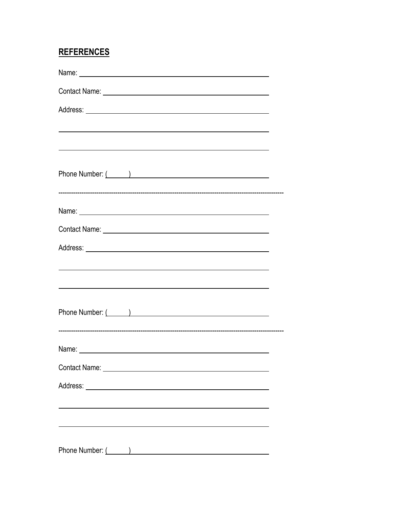# **REFERENCES**

| <u> 1989 - Johann Stoff, deutscher Stoff, der Stoff, der Stoff, der Stoff, der Stoff, der Stoff, der Stoff, der S</u> |  |
|-----------------------------------------------------------------------------------------------------------------------|--|
| and the control of the control of the control of the control of the control of the control of the control of the      |  |
| Phone Number: ( )                                                                                                     |  |
|                                                                                                                       |  |
|                                                                                                                       |  |
|                                                                                                                       |  |
|                                                                                                                       |  |
|                                                                                                                       |  |
|                                                                                                                       |  |
|                                                                                                                       |  |
|                                                                                                                       |  |
|                                                                                                                       |  |
| Phone Number: ( )                                                                                                     |  |